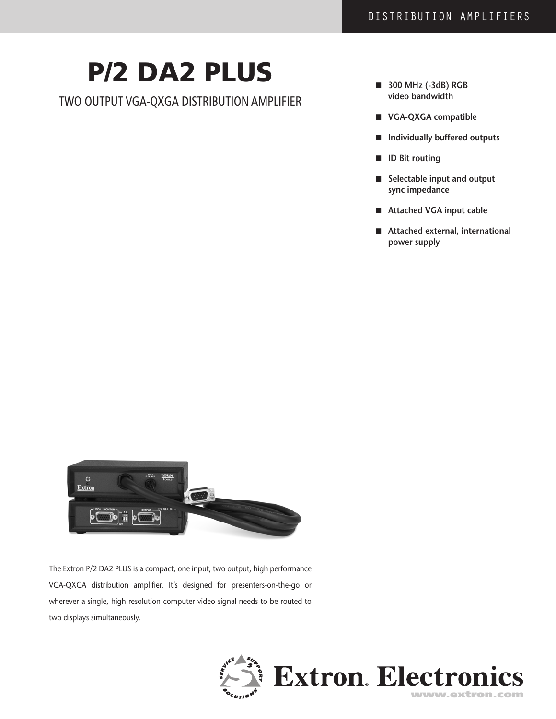# P/2 DA2 PLUS

Two Output VGA-QXGA Distribution Amplifier

- n **300 MHz (-3dB) RGB video bandwidth**
- n **VGA-QXGA compatible**
- n **Individually buffered outputs**
- **ID** Bit routing
- n **Selectable input and output sync impedance**
- Attached VGA input cable
- Attached external, international **power supply**



The Extron P/2 DA2 PLUS is a compact, one input, two output, high performance VGA-QXGA distribution amplifier. It's designed for presenters-on-the-go or wherever a single, high resolution computer video signal needs to be routed to two displays simultaneously.